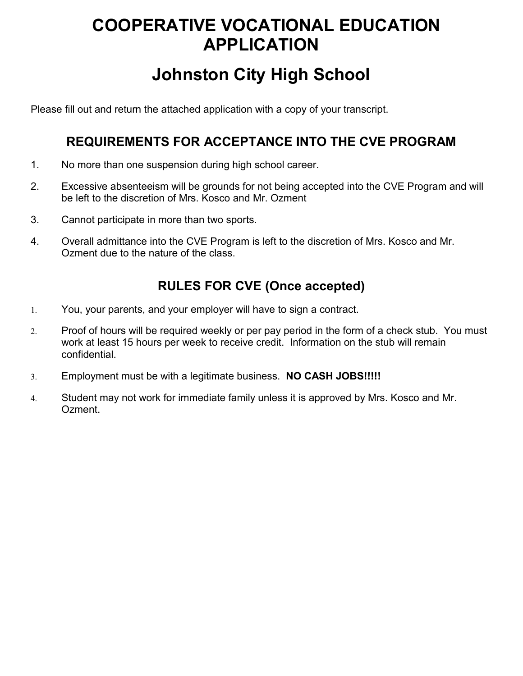## **COOPERATIVE VOCATIONAL EDUCATION APPLICATION**

## **Johnston City High School**

Please fill out and return the attached application with a copy of your transcript.

## **REQUIREMENTS FOR ACCEPTANCE INTO THE CVE PROGRAM**

- 1. No more than one suspension during high school career.
- 2. Excessive absenteeism will be grounds for not being accepted into the CVE Program and will be left to the discretion of Mrs. Kosco and Mr. Ozment
- 3. Cannot participate in more than two sports.
- 4. Overall admittance into the CVE Program is left to the discretion of Mrs. Kosco and Mr. Ozment due to the nature of the class.

## **RULES FOR CVE (Once accepted)**

- 1. You, your parents, and your employer will have to sign a contract.
- 2. Proof of hours will be required weekly or per pay period in the form of a check stub. You must work at least 15 hours per week to receive credit. Information on the stub will remain confidential.
- 3. Employment must be with a legitimate business. **NO CASH JOBS!!!!!**
- 4. Student may not work for immediate family unless it is approved by Mrs. Kosco and Mr. Ozment.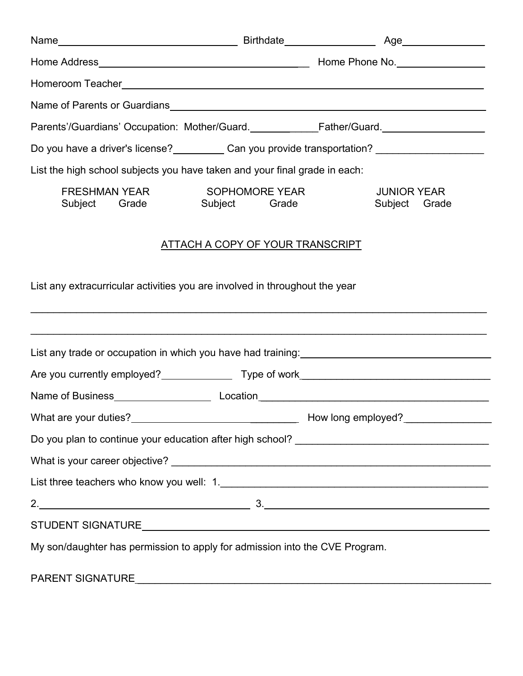|                                                                                                                                                                 |                                 | Name of Parents or Guardians <b>contained a control of the Control of Parameters</b> and the Name of Parents or Guardians                                                                                                           |
|-----------------------------------------------------------------------------------------------------------------------------------------------------------------|---------------------------------|-------------------------------------------------------------------------------------------------------------------------------------------------------------------------------------------------------------------------------------|
|                                                                                                                                                                 |                                 | Parents'/Guardians' Occupation: Mother/Guard. <b>Example:</b> Father/Guard. Father/Guard. Father/Guard. Father/Guard. Father/Guard. Father/Guard. Father/Guard. Father/Guard. Father/Guard. Father/Guard. Father/Guard. Father/Guar |
| Do you have a driver's license? Can you provide transportation? ________________                                                                                |                                 |                                                                                                                                                                                                                                     |
| List the high school subjects you have taken and your final grade in each:                                                                                      |                                 |                                                                                                                                                                                                                                     |
| FRESHMAN YEAR<br>Subject<br>Grade                                                                                                                               | SOPHOMORE YEAR<br>Subject Grade | <b>JUNIOR YEAR</b><br>Subject Grade                                                                                                                                                                                                 |
| <u>ATTACH A COPY OF YOUR TRANSCRIPT</u>                                                                                                                         |                                 |                                                                                                                                                                                                                                     |
| List any extracurricular activities you are involved in throughout the year<br>,我们也不会有什么。""我们的人,我们也不会有什么?""我们的人,我们也不会有什么?""我们的人,我们也不会有什么?""我们的人,我们也不会有什么?""我们的人 |                                 |                                                                                                                                                                                                                                     |
|                                                                                                                                                                 |                                 | ,我们也不能在这里的时候,我们也不能在这里的时候,我们也不能不能不能不能不能不能不能不能不能不能不能不能不能不能不能。""我们的是我们的,我们也不能不能不能不能<br>List any trade or occupation in which you have had training: ____________________                                                               |
|                                                                                                                                                                 |                                 |                                                                                                                                                                                                                                     |
|                                                                                                                                                                 |                                 | Name of Business______________________________Location___________________________                                                                                                                                                   |
|                                                                                                                                                                 |                                 |                                                                                                                                                                                                                                     |
|                                                                                                                                                                 |                                 |                                                                                                                                                                                                                                     |
|                                                                                                                                                                 |                                 |                                                                                                                                                                                                                                     |
|                                                                                                                                                                 |                                 |                                                                                                                                                                                                                                     |
|                                                                                                                                                                 |                                 | $2.$ $3.$                                                                                                                                                                                                                           |
|                                                                                                                                                                 |                                 |                                                                                                                                                                                                                                     |
| My son/daughter has permission to apply for admission into the CVE Program.                                                                                     |                                 |                                                                                                                                                                                                                                     |
|                                                                                                                                                                 |                                 |                                                                                                                                                                                                                                     |